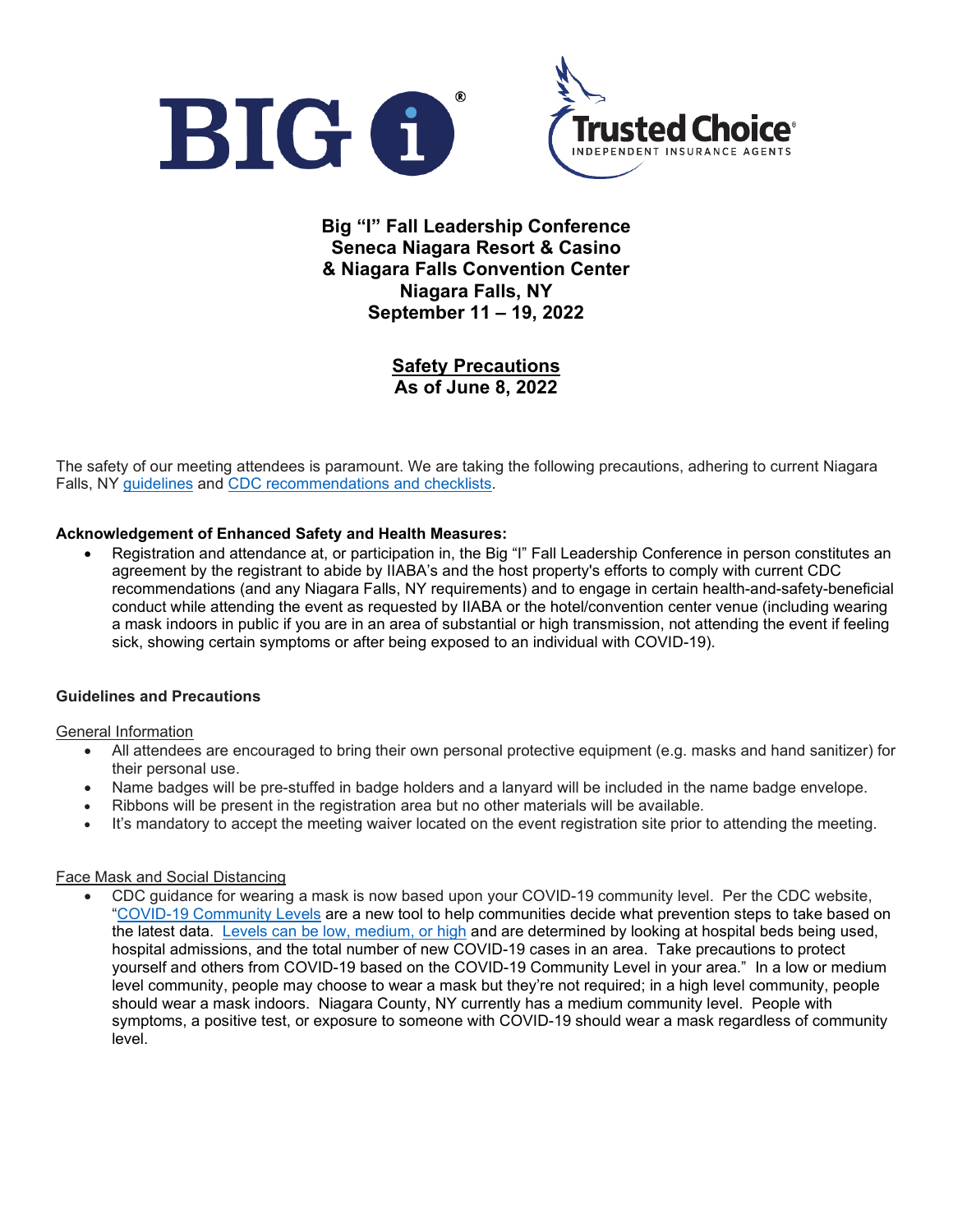

**Big "I" Fall Leadership Conference Seneca Niagara Resort & Casino & Niagara Falls Convention Center Niagara Falls, NY September 11 – 19, 2022**

> **Safety Precautions As of June 8, 2022**

The safety of our meeting attendees is paramount. We are taking the following precautions, adhering to current Niagara Falls, NY [guidelines](https://www.niagaracounty.com/health/Services/Public-Health-Preparedness/2019-Novel-Coronavirus-COVID-19) and [CDC recommendations](https://www.cdc.gov/coronavirus/2019-ncov/index.html) and checklists.

### **Acknowledgement of Enhanced Safety and Health Measures:**

• Registration and attendance at, or participation in, the Big "I" Fall Leadership Conference in person constitutes an agreement by the registrant to abide by IIABA's and the host property's efforts to comply with current CDC recommendations (and any Niagara Falls, NY requirements) and to engage in certain health-and-safety-beneficial conduct while attending the event as requested by IIABA or the hotel/convention center venue (including wearing a mask indoors in public if you are in an area of substantial or high transmission, not attending the event if feeling sick, showing certain symptoms or after being exposed to an individual with COVID-19).

### **Guidelines and Precautions**

### General Information

- All attendees are encouraged to bring their own personal protective equipment (e.g. masks and hand sanitizer) for their personal use.
- Name badges will be pre-stuffed in badge holders and a lanyard will be included in the name badge envelope.
- Ribbons will be present in the registration area but no other materials will be available.
- It's mandatory to accept the meeting waiver located on the event registration site prior to attending the meeting.

### Face Mask and Social Distancing

• CDC guidance for wearing a mask is now based upon your COVID-19 community level. Per the CDC website, ["COVID-19 Community Levels](https://www.cdc.gov/coronavirus/2019-ncov/science/community-levels.html) are a new tool to help communities decide what prevention steps to take based on the latest data. [Levels can be low, medium, or high](https://www.cdc.gov/coronavirus/2019-ncov/your-health/covid-by-county.html) and are determined by looking at hospital beds being used, hospital admissions, and the total number of new COVID-19 cases in an area. Take precautions to protect yourself and others from COVID-19 based on the COVID-19 Community Level in your area." In a low or medium level community, people may choose to wear a mask but they're not required; in a high level community, people should wear a mask indoors. Niagara County, NY currently has a medium community level. People with symptoms, a positive test, or exposure to someone with COVID-19 should wear a mask regardless of community level.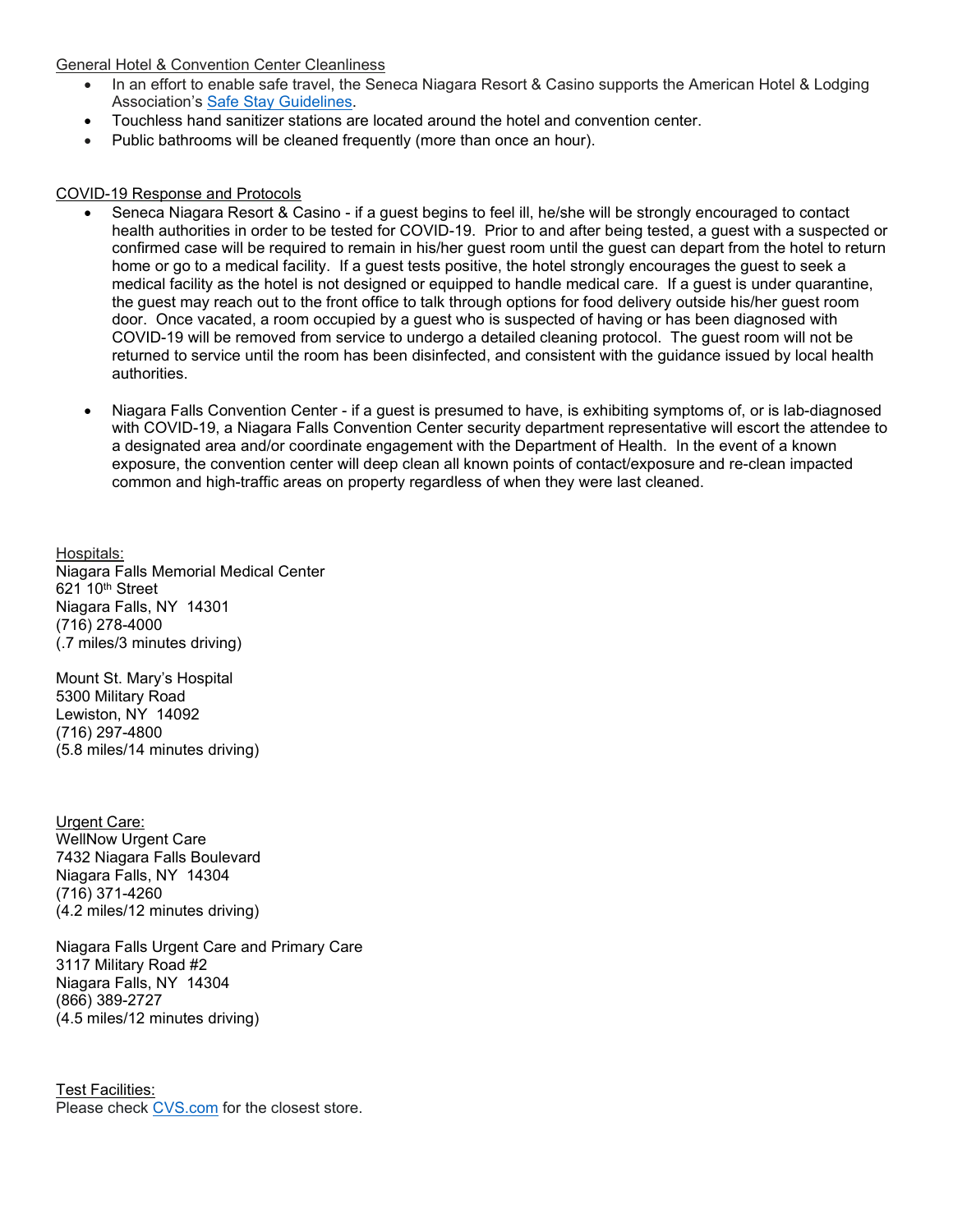### General Hotel & Convention Center Cleanliness

- In an effort to enable safe travel, the Seneca Niagara Resort & Casino supports the American Hotel & Lodging Association's [Safe Stay Guidelines.](https://www.ahla.com/sites/default/files/SafeStayGuidelinesV8_032722%20Final.pdf)
- Touchless hand sanitizer stations are located around the hotel and convention center.
- Public bathrooms will be cleaned frequently (more than once an hour).

## COVID-19 Response and Protocols

- Seneca Niagara Resort & Casino if a guest begins to feel ill, he/she will be strongly encouraged to contact health authorities in order to be tested for COVID-19. Prior to and after being tested, a guest with a suspected or confirmed case will be required to remain in his/her guest room until the guest can depart from the hotel to return home or go to a medical facility. If a guest tests positive, the hotel strongly encourages the guest to seek a medical facility as the hotel is not designed or equipped to handle medical care. If a guest is under quarantine, the guest may reach out to the front office to talk through options for food delivery outside his/her guest room door. Once vacated, a room occupied by a guest who is suspected of having or has been diagnosed with COVID-19 will be removed from service to undergo a detailed cleaning protocol. The guest room will not be returned to service until the room has been disinfected, and consistent with the guidance issued by local health authorities.
- Niagara Falls Convention Center if a guest is presumed to have, is exhibiting symptoms of, or is lab-diagnosed with COVID-19, a Niagara Falls Convention Center security department representative will escort the attendee to a designated area and/or coordinate engagement with the Department of Health. In the event of a known exposure, the convention center will deep clean all known points of contact/exposure and re-clean impacted common and high-traffic areas on property regardless of when they were last cleaned.

Hospitals: Niagara Falls Memorial Medical Center  $621$  10<sup>th</sup> Street Niagara Falls, NY 14301 (716) 278-4000 (.7 miles/3 minutes driving)

Mount St. Mary's Hospital 5300 Military Road Lewiston, NY 14092 (716) 297-4800 (5.8 miles/14 minutes driving)

Urgent Care: WellNow Urgent Care 7432 Niagara Falls Boulevard Niagara Falls, NY 14304 (716) 371-4260 (4.2 miles/12 minutes driving)

Niagara Falls Urgent Care and Primary Care 3117 Military Road #2 Niagara Falls, NY 14304 (866) 389-2727 (4.5 miles/12 minutes driving)

Test Facilities: Please check [CVS.com](https://www.cvs.com/) for the closest store.